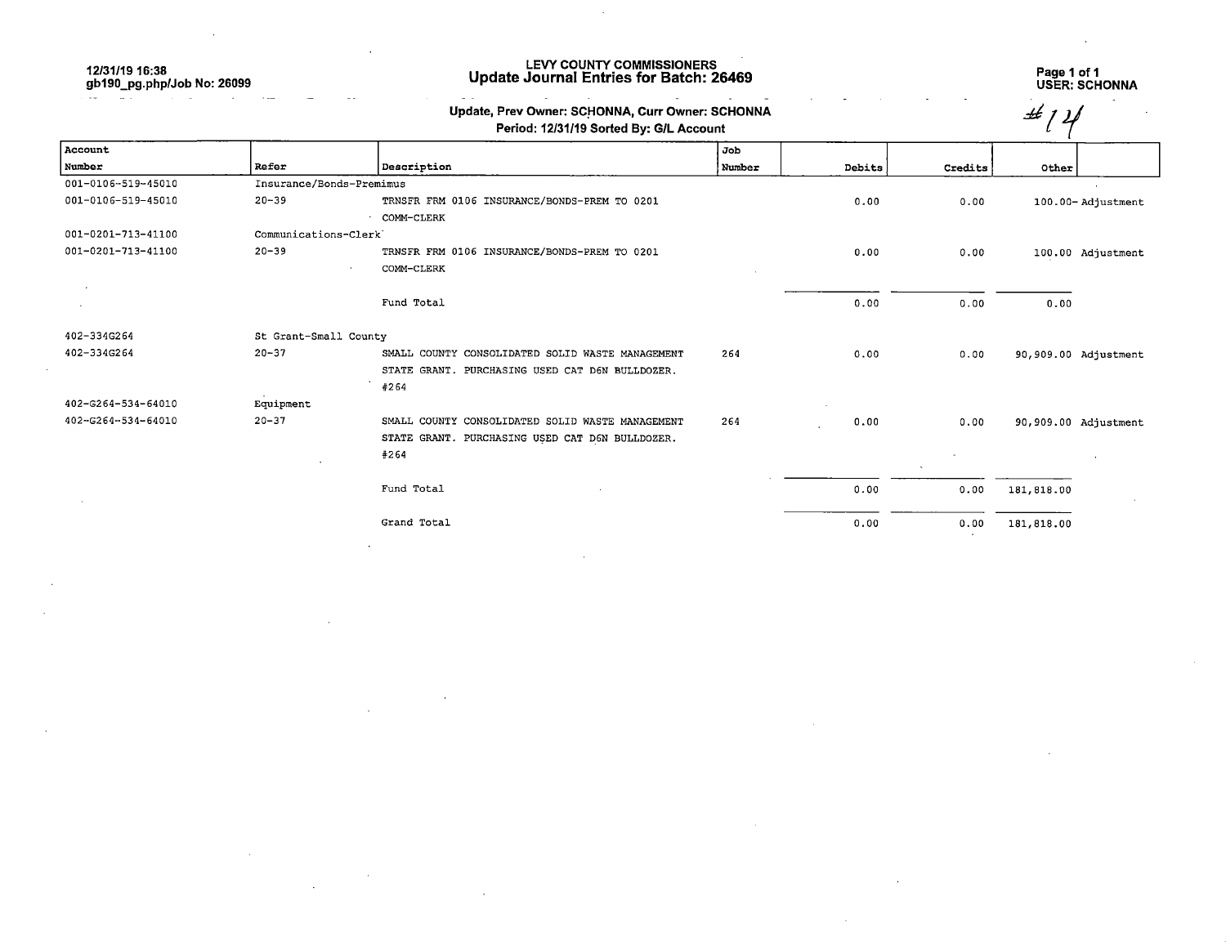12/31/19 16:38 gb190\_pg.php/Job No: 26099

#### LEVY COUNTY COMMISSIONERS Update Journal Entries for Batch: 26469

# Page 1 of 1 USER: SCHONNA

| Update, Prev Owner: SCHONNA, Curr Owner: SCHONNA |
|--------------------------------------------------|
| Pariod: 12/31/19 Sorted By: Gll. Account         |

|                    |                          | Update, Prev Owner: SCHONNA, Curr Owner: SCHONNA<br>Period: 12/31/19 Sorted By: G/L Account |        |        |         | ££         |                      |
|--------------------|--------------------------|---------------------------------------------------------------------------------------------|--------|--------|---------|------------|----------------------|
| Account            |                          |                                                                                             | Job    |        |         |            |                      |
| Number             | Refer                    | Description                                                                                 | Number | Debits | Credits | Other      |                      |
| 001-0106-519-45010 | Insurance/Bonds-Premimus |                                                                                             |        |        |         |            |                      |
| 001-0106-519-45010 | $20 - 39$                | TRNSFR FRM 0106 INSURANCE/BONDS-PREM TO 0201                                                |        | 0.00   | 0.00    |            | 100.00-Adjustment    |
|                    |                          | COMM-CLERK                                                                                  |        |        |         |            |                      |
| 001-0201-713-41100 | Communications-Clerk     |                                                                                             |        |        |         |            |                      |
| 001-0201-713-41100 | $20 - 39$                | TRNSFR FRM 0106 INSURANCE/BONDS-PREM TO 0201                                                |        | 0.00   | 0.00    |            | 100.00 Adjustment    |
|                    |                          | COMM-CLERK                                                                                  |        |        |         |            |                      |
|                    |                          | Fund Total                                                                                  |        | 0.00   | 0.00    | 0.00       |                      |
| 402-334G264        | St Grant-Small County    |                                                                                             |        |        |         |            |                      |
| 402-334G264        | $20 - 37$                | SMALL COUNTY CONSOLIDATED SOLID WASTE MANAGEMENT                                            | 264    | 0.00   | 0.00    |            | 90,909.00 Adjustment |
|                    |                          | STATE GRANT. PURCHASING USED CAT D6N BULLDOZER.                                             |        |        |         |            |                      |
|                    |                          | #264                                                                                        |        |        |         |            |                      |
| 402-6264-534-64010 | Equipment                |                                                                                             |        |        |         |            |                      |
| 402-G264-534-64010 | $20 - 37$                | SMALL COUNTY CONSOLIDATED SOLID WASTE MANAGEMENT                                            | 264    | 0.00   | 0.00    |            | 90,909.00 Adjustment |
|                    |                          | STATE GRANT. PURCHASING USED CAT D6N BULLDOZER.                                             |        |        |         |            |                      |
|                    |                          | #264                                                                                        |        |        |         |            |                      |
|                    |                          | Fund Total                                                                                  |        | 0.00   | 0.00    | 181,818.00 |                      |
|                    |                          | Grand Total                                                                                 |        | 0.00   | 0.00    | 181,818.00 |                      |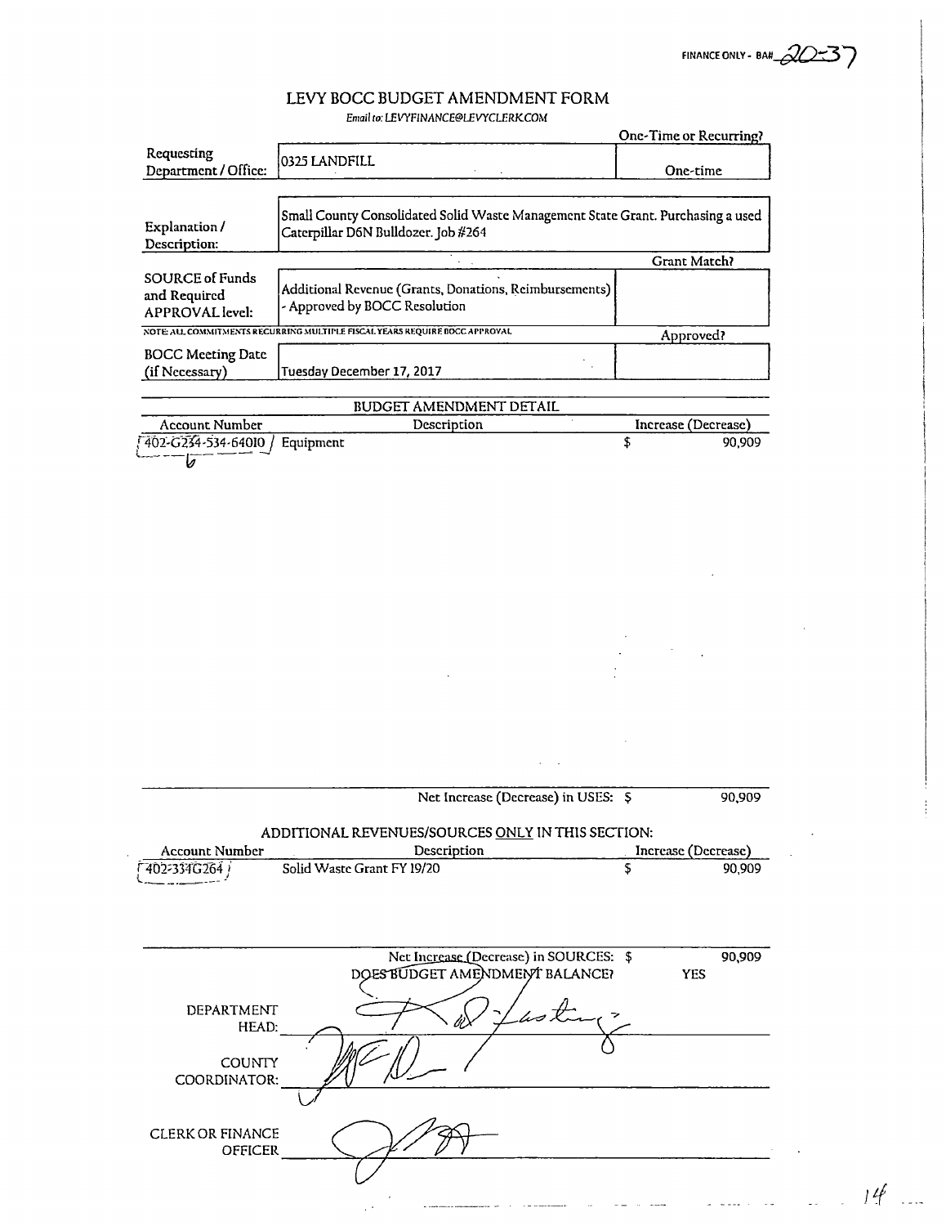FINANCE ONLY - BAN 20-37

## LEVY BOCC BUDGET AMENDMENT FORM Email to: LEVYFINANCE@LEVYCLERKCOM

|                                                                  |                                                                                                                        | One-Time or Recurring? |        |
|------------------------------------------------------------------|------------------------------------------------------------------------------------------------------------------------|------------------------|--------|
| Requesting<br>Department / Office:                               | 0325 LANDFILL                                                                                                          | One-time               |        |
| Explanation /<br>Description:                                    | Small County Consolidated Solid Waste Management State Grant. Purchasing a used<br>Caterpillar D6N Bulldozer. Job #264 |                        |        |
|                                                                  |                                                                                                                        | Grant Match?           |        |
| <b>SOURCE of Funds</b><br>and Required<br><b>APPROVAL</b> level: | Additional Revenue (Grants, Donations, Reimbursements)<br>- Approved by BOCC Resolution                                |                        |        |
|                                                                  | NOTE ALL COMMITMENTS RECURRING MULTIPLE FISCAL YEARS REQUIRE BOCC APPROVAL                                             | Approved?              |        |
| <b>BOCC Meeting Date</b><br>(if Necessary)                       | Tuesday December 17, 2017                                                                                              |                        |        |
|                                                                  | <b>BUDGET AMENDMENT DETAIL</b>                                                                                         |                        |        |
| Account Number                                                   | Description                                                                                                            | Increase (Decrease)    |        |
| 402-G234-534-64010 /<br>b                                        | Equipment                                                                                                              | \$                     | 90,909 |
|                                                                  |                                                                                                                        |                        |        |
|                                                                  |                                                                                                                        |                        |        |
|                                                                  | Net Increase (Decrease) in USES: \$                                                                                    |                        | 90,909 |
| <b>Account Number</b>                                            | ADDITIONAL REVENUES/SOURCES ONLY IN THIS SECTION:<br>Description                                                       | Increase (Decrease)    |        |
| F402-334G264                                                     | Solid Waste Grant FY 19/20                                                                                             | S                      | 90,909 |
|                                                                  |                                                                                                                        |                        |        |
|                                                                  | Net Increase (Decrease) in SOURCES: \$<br>DOES BUDGET AMENDMENT BALANCE?                                               | <b>YES</b>             | 90,909 |
| DEPARTMENT<br>HEAD:<br><b>COUNTY</b>                             | astro                                                                                                                  |                        |        |
| COORDINATOR:                                                     |                                                                                                                        |                        |        |
| <b>CLERK OR FINANCE</b><br><b>OFFICER</b>                        |                                                                                                                        |                        |        |

 $\bar{z}$ 

 $\label{eq:3.1} \omega_{\rm{c}}(\omega) = \frac{1}{2} \left( \frac{1}{2} \left( \frac{\omega_{\rm{c}}}{\omega_{\rm{c}}}\right)^2 - \frac{1}{2} \left( \frac{\omega_{\rm{c}}}{\omega_{\rm{c}}}\right)^2 - \frac{1}{2} \left( \frac{\omega_{\rm{c}}}{\omega_{\rm{c}}}\right)^2 \right) \nonumber \\ \times \left( \frac{\omega_{\rm{c}}}{\omega_{\rm{c}}}\right) = \frac{1}{2} \left( \frac{\omega_{\rm{c}}}{\omega_{\rm{c}}}\right) \nonumber \\ \times \left( \frac{\omega_{\rm{c}}}{\$ 

 $\frac{1}{2}$  . The contract of  $\frac{1}{2}$ 

 $\label{eq:3} \frac{1}{\sqrt{2}}\left( \frac{1}{\sqrt{2}}\right) \left( \frac{1}{\sqrt{2}}\right) \left( \frac{1}{\sqrt{2}}\right) \left( \frac{1}{\sqrt{2}}\right) \left( \frac{1}{\sqrt{2}}\right) \left( \frac{1}{\sqrt{2}}\right) \left( \frac{1}{\sqrt{2}}\right) \left( \frac{1}{\sqrt{2}}\right) \left( \frac{1}{\sqrt{2}}\right) \left( \frac{1}{\sqrt{2}}\right) \left( \frac{1}{\sqrt{2}}\right) \left( \frac{1}{\sqrt{2}}\right) \left( \frac{1}{\sqrt{$ 

 $\mathcal{L}$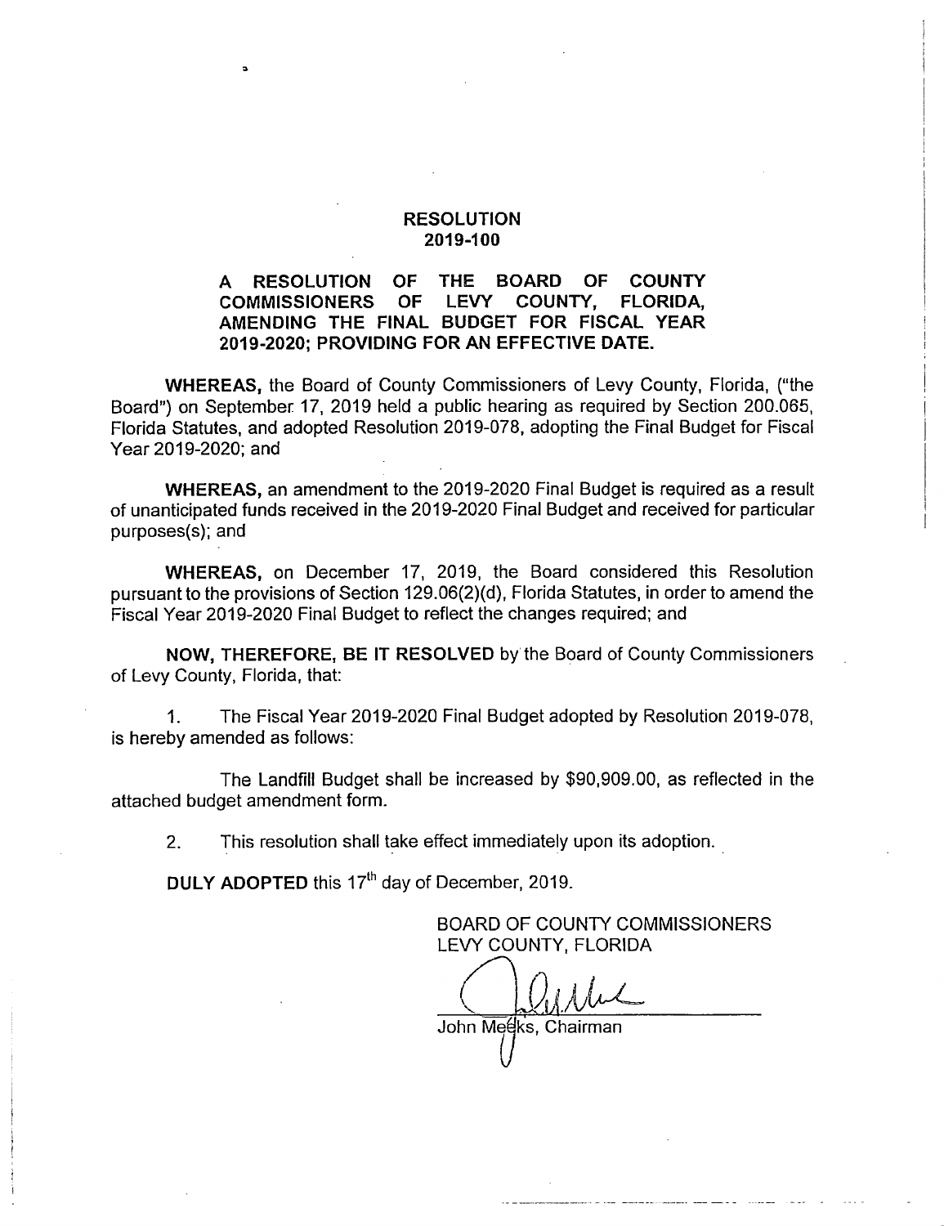### RESOLUTION 2019-100

### A RESOLUTION OF THE BOARD OF COUNTY<br>COMMISSIONERS OF LEVY COUNTY, FLORIDA, COMMISSIONERS OF AMENDING THE FINAL BUDGET FOR FISCAL YEAR 2019-2020; PROVIDING FOR AN EFFECTIVE DATE.

WHEREAS, the Board of County Commissioners of Levy County, Florida, ("the Board") on September 17, 2019 held a public hearing as required by Section 200.065, Florida Statutes, and adopted Resolution 2019-078, adopting the Final Budget for Fiscal Year 2019-2020; and

WHEREAS, an amendment to the 2019-2020 Final Budget is required as a result of unanticipated funds received in the 2019-2020 Final Budget and received for particular purposes(s); and

WHEREAS, on December 17, 2019, the Board considered this Resolution pursuant to the provisions of Section 129.06(2)(d), Florida Statutes, in order to amend the Fiscal Year 2019-2020 Final Budget to reflect the changes required; and

NOW, THEREFORE, BE IT RESOLVED by the Board of County Commissioners of Levy County, Florida, that:

1. The Fiscal Year 2019-2020 Final Budget adopted by Resolution 2019-078, is hereby amended as follows:

The Landfill Budget shall be increased by \$90,909.00, as reflected in the attached budget amendment form.

2. This resolution shall take effect immediately upon its adoption.

DULY ADOPTED this 17<sup>th</sup> day of December, 2019.

BOARD OF COUNTY COMMISSIONERS LEVY COUNTY, FLORIDA

John Meeks, Chairman

 $\bigvee$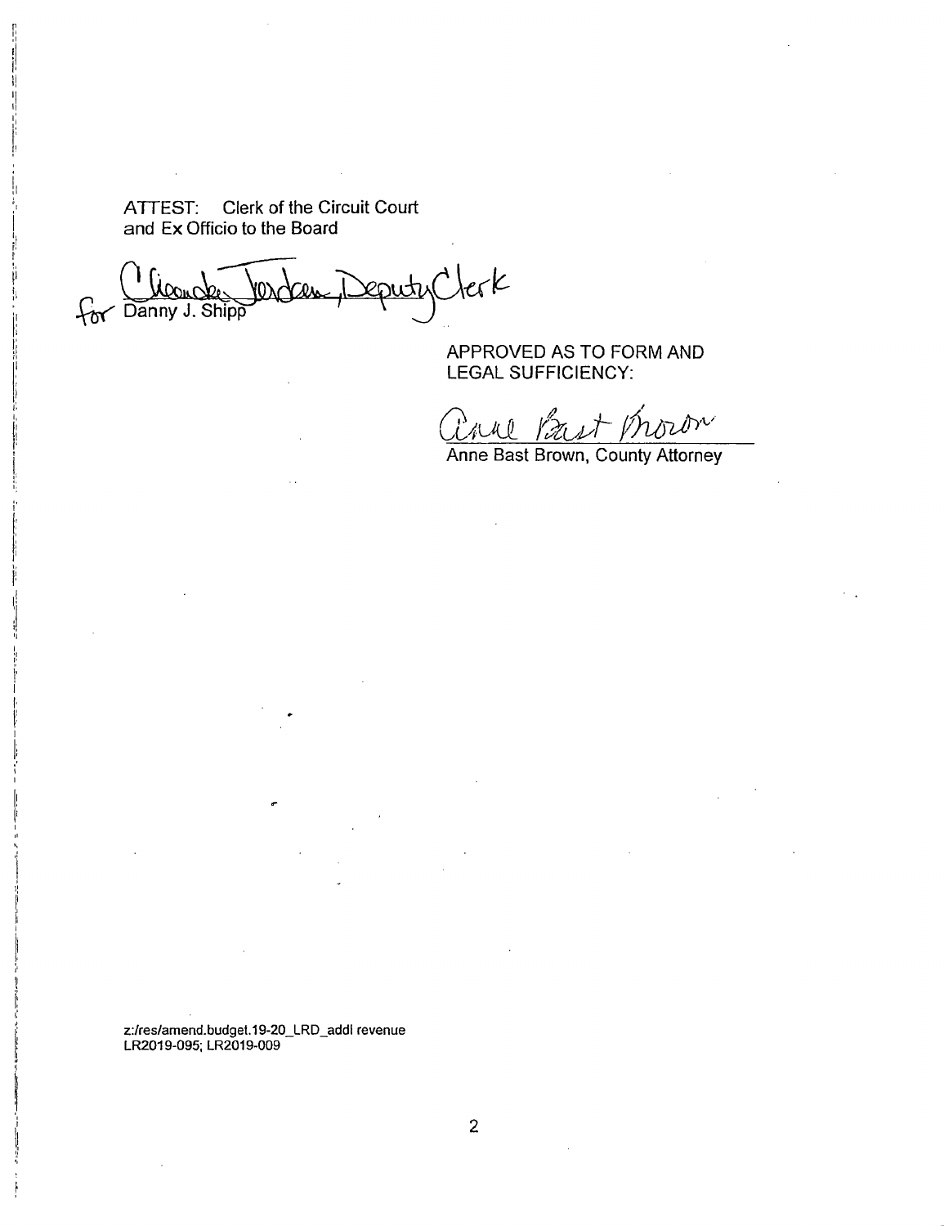ATTEST: Clerk of the Circuit Court and Ex Officio to the Board

eputyClerk For Danny J. Shipp

APPROVED AS TO FORM AND LEGAL SUFFICIENCY;

Paul Bast V. nnov

Anne Bast Brown, County Attorney

z:/res/amend.budget.19-20\_LRD\_addl revenue LR2019-095; LR2019-009